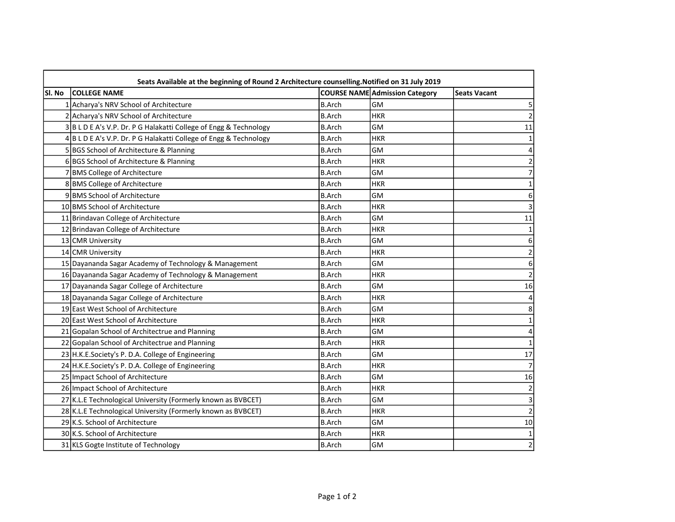| SI. No | <b>COLLEGE NAME</b>                                               |               | <b>COURSE NAME Admission Category</b> | <b>Seats Vacant</b> |
|--------|-------------------------------------------------------------------|---------------|---------------------------------------|---------------------|
|        | 1 Acharya's NRV School of Architecture                            | <b>B.Arch</b> | <b>GM</b>                             |                     |
|        | 2 Acharya's NRV School of Architecture                            | <b>B.Arch</b> | <b>HKR</b>                            |                     |
|        | 3 B L D E A's V.P. Dr. P G Halakatti College of Engg & Technology | <b>B.Arch</b> | <b>GM</b>                             | 11                  |
|        | 4BLDEA's V.P. Dr. P G Halakatti College of Engg & Technology      | <b>B.Arch</b> | <b>HKR</b>                            |                     |
|        | 5 BGS School of Architecture & Planning                           | <b>B.Arch</b> | <b>GM</b>                             |                     |
|        | 6BGS School of Architecture & Planning                            | <b>B.Arch</b> | <b>HKR</b>                            |                     |
|        | 7 BMS College of Architecture                                     | <b>B.Arch</b> | <b>GM</b>                             |                     |
|        | 8 BMS College of Architecture                                     | <b>B.Arch</b> | <b>HKR</b>                            |                     |
|        | 9 BMS School of Architecture                                      | <b>B.Arch</b> | <b>GM</b>                             | 6                   |
|        | 10 BMS School of Architecture                                     | <b>B.Arch</b> | <b>HKR</b>                            |                     |
|        | 11 Brindavan College of Architecture                              | <b>B.Arch</b> | <b>GM</b>                             | 11                  |
|        | 12 Brindavan College of Architecture                              | <b>B.Arch</b> | <b>HKR</b>                            |                     |
|        | 13 CMR University                                                 | <b>B.Arch</b> | <b>GM</b>                             |                     |
|        | 14 CMR University                                                 | <b>B.Arch</b> | <b>HKR</b>                            |                     |
|        | 15 Dayananda Sagar Academy of Technology & Management             | <b>B.Arch</b> | <b>GM</b>                             |                     |
|        | 16 Dayananda Sagar Academy of Technology & Management             | <b>B.Arch</b> | <b>HKR</b>                            |                     |
|        | 17 Dayananda Sagar College of Architecture                        | <b>B.Arch</b> | <b>GM</b>                             | 16                  |
|        | 18 Dayananda Sagar College of Architecture                        | <b>B.Arch</b> | <b>HKR</b>                            |                     |
|        | 19 East West School of Architecture                               | <b>B.Arch</b> | <b>GM</b>                             |                     |
|        | 20 East West School of Architecture                               | <b>B.Arch</b> | <b>HKR</b>                            |                     |
|        | 21 Gopalan School of Architectrue and Planning                    | <b>B.Arch</b> | <b>GM</b>                             |                     |
|        | 22 Gopalan School of Architectrue and Planning                    | <b>B.Arch</b> | <b>HKR</b>                            |                     |
|        | 23 H.K.E.Society's P. D.A. College of Engineering                 | <b>B.Arch</b> | <b>GM</b>                             | 17                  |
|        | 24 H.K.E.Society's P. D.A. College of Engineering                 | <b>B.Arch</b> | <b>HKR</b>                            |                     |
|        | 25 Impact School of Architecture                                  | <b>B.Arch</b> | <b>GM</b>                             | 16                  |
|        | 26 Impact School of Architecture                                  | <b>B.Arch</b> | <b>HKR</b>                            |                     |
|        | 27 K.L.E Technological University (Formerly known as BVBCET)      | <b>B.Arch</b> | <b>GM</b>                             |                     |
|        | 28 K.L.E Technological University (Formerly known as BVBCET)      | <b>B.Arch</b> | <b>HKR</b>                            |                     |
|        | 29 K.S. School of Architecture                                    | <b>B.Arch</b> | <b>GM</b>                             | 10                  |
|        | 30 K.S. School of Architecture                                    | <b>B.Arch</b> | <b>HKR</b>                            | 1                   |
|        | 31 KLS Gogte Institute of Technology                              | <b>B.Arch</b> | GM                                    | $\overline{c}$      |